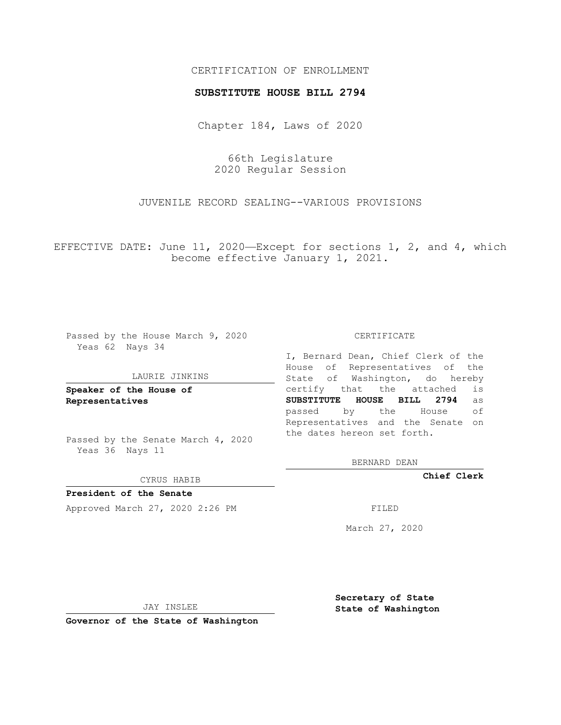## CERTIFICATION OF ENROLLMENT

### **SUBSTITUTE HOUSE BILL 2794**

Chapter 184, Laws of 2020

66th Legislature 2020 Regular Session

JUVENILE RECORD SEALING--VARIOUS PROVISIONS

EFFECTIVE DATE: June 11, 2020—Except for sections 1, 2, and 4, which become effective January 1, 2021.

Passed by the House March 9, 2020 Yeas 62 Nays 34

#### LAURIE JINKINS

**Speaker of the House of Representatives**

Passed by the Senate March 4, 2020 Yeas 36 Nays 11

CYRUS HABIB

**President of the Senate** Approved March 27, 2020 2:26 PM

CERTIFICATE

I, Bernard Dean, Chief Clerk of the House of Representatives of the State of Washington, do hereby certify that the attached is **SUBSTITUTE HOUSE BILL 2794** as passed by the House of Representatives and the Senate on the dates hereon set forth.

BERNARD DEAN

**Chief Clerk**

March 27, 2020

JAY INSLEE

**Governor of the State of Washington**

**Secretary of State State of Washington**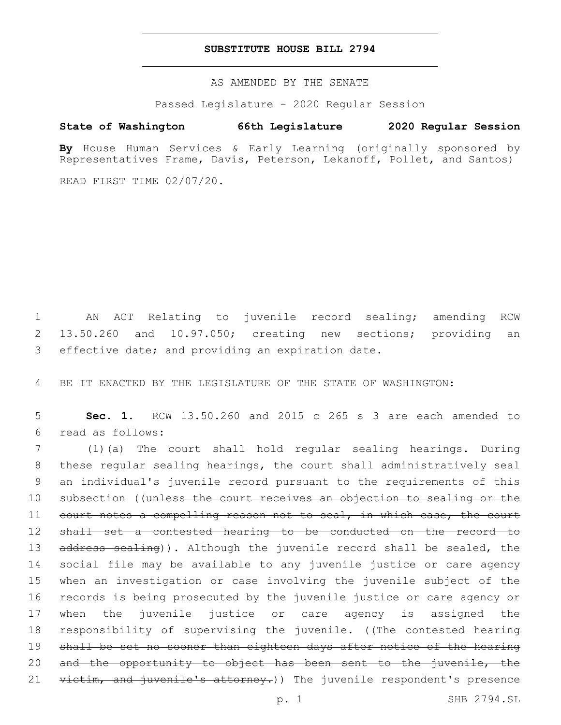## **SUBSTITUTE HOUSE BILL 2794**

AS AMENDED BY THE SENATE

Passed Legislature - 2020 Regular Session

# **State of Washington 66th Legislature 2020 Regular Session**

**By** House Human Services & Early Learning (originally sponsored by Representatives Frame, Davis, Peterson, Lekanoff, Pollet, and Santos)

READ FIRST TIME 02/07/20.

1 AN ACT Relating to juvenile record sealing; amending RCW 2 13.50.260 and 10.97.050; creating new sections; providing an 3 effective date; and providing an expiration date.

4 BE IT ENACTED BY THE LEGISLATURE OF THE STATE OF WASHINGTON:

5 **Sec. 1.** RCW 13.50.260 and 2015 c 265 s 3 are each amended to read as follows:6

7 (1)(a) The court shall hold regular sealing hearings. During 8 these regular sealing hearings, the court shall administratively seal 9 an individual's juvenile record pursuant to the requirements of this 10 subsection ((unless the court receives an objection to sealing or the 11 court notes a compelling reason not to seal, in which case, the court 12 shall set a contested hearing to be conducted on the record to 13 address sealing)). Although the juvenile record shall be sealed, the 14 social file may be available to any juvenile justice or care agency 15 when an investigation or case involving the juvenile subject of the 16 records is being prosecuted by the juvenile justice or care agency or 17 when the juvenile justice or care agency is assigned the 18 responsibility of supervising the juvenile. ((The contested hearing 19 shall be set no sooner than eighteen days after notice of the hearing 20 and the opportunity to object has been sent to the juvenile, the 21 victim, and juvenile's attorney.)) The juvenile respondent's presence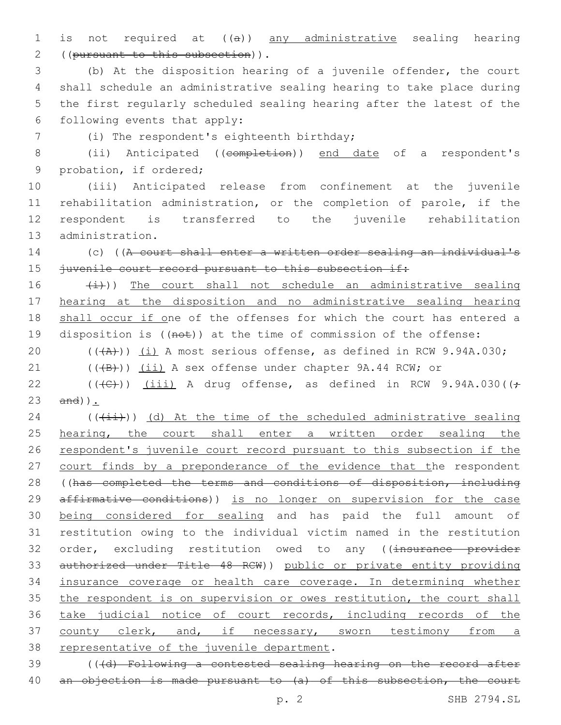1 is not required at  $((a))$  any administrative sealing hearing ((pursuant to this subsection)).2

 (b) At the disposition hearing of a juvenile offender, the court shall schedule an administrative sealing hearing to take place during the first regularly scheduled sealing hearing after the latest of the 6 following events that apply:

(i) The respondent's eighteenth birthday;7

8 (ii) Anticipated ((completion)) end date of a respondent's 9 probation, if ordered;

 (iii) Anticipated release from confinement at the juvenile rehabilitation administration, or the completion of parole, if the respondent is transferred to the juvenile rehabilitation 13 administration.

14 (c) ((A court shall enter a written order sealing an individual's 15 juvenile court record pursuant to this subsection if:

 $(\pm)$ )) The court shall not schedule an administrative sealing hearing at the disposition and no administrative sealing hearing shall occur if one of the offenses for which the court has entered a 19 disposition is ((not)) at the time of commission of the offense:

20  $((+A)^2)$   $(i)$  A most serious offense, as defined in RCW 9.94A.030;

21 (((B)) (ii) A sex offense under chapter 9A.44 RCW; or

22 ( $(\text{+C})$ ) (iii) A drug offense, as defined in RCW 9.94A.030( $(\div)$ 23 and)).

 $($  ( $(\overrightarrow{\text{iii}}))$  (d) At the time of the scheduled administrative sealing 25 hearing, the court shall enter a written order sealing the 26 respondent's juvenile court record pursuant to this subsection if the 27 court finds by a preponderance of the evidence that the respondent 28 ((has completed the terms and conditions of disposition, including 29 affirmative conditions)) is no longer on supervision for the case 30 being considered for sealing and has paid the full amount of 31 restitution owing to the individual victim named in the restitution 32 order, excluding restitution owed to any ((insurance provider 33 authorized under Title 48 RCW)) public or private entity providing 34 insurance coverage or health care coverage. In determining whether 35 the respondent is on supervision or owes restitution, the court shall 36 take judicial notice of court records, including records of the 37 county clerk, and, if necessary, sworn testimony from a 38 representative of the juvenile department.

39 (((d) Following a contested sealing hearing on the record after 40 an objection is made pursuant to (a) of this subsection, the court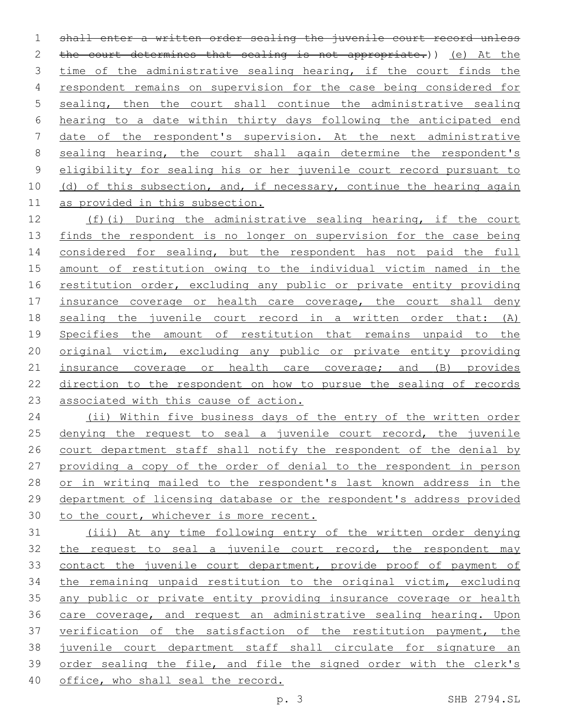shall enter a written order sealing the juvenile court record unless 2 the court determines that sealing is not appropriate.)) (e) At the 3 time of the administrative sealing hearing, if the court finds the respondent remains on supervision for the case being considered for sealing, then the court shall continue the administrative sealing hearing to a date within thirty days following the anticipated end date of the respondent's supervision. At the next administrative 8 sealing hearing, the court shall again determine the respondent's eligibility for sealing his or her juvenile court record pursuant to 10 (d) of this subsection, and, if necessary, continue the hearing again as provided in this subsection.

 (f)(i) During the administrative sealing hearing, if the court 13 finds the respondent is no longer on supervision for the case being 14 considered for sealing, but the respondent has not paid the full amount of restitution owing to the individual victim named in the 16 restitution order, excluding any public or private entity providing insurance coverage or health care coverage, the court shall deny sealing the juvenile court record in a written order that: (A) 19 Specifies the amount of restitution that remains unpaid to the original victim, excluding any public or private entity providing 21 insurance coverage or health care coverage; and (B) provides direction to the respondent on how to pursue the sealing of records associated with this cause of action.

24 (ii) Within five business days of the entry of the written order 25 denying the request to seal a juvenile court record, the juvenile court department staff shall notify the respondent of the denial by providing a copy of the order of denial to the respondent in person 28 or in writing mailed to the respondent's last known address in the department of licensing database or the respondent's address provided to the court, whichever is more recent.

 (iii) At any time following entry of the written order denying 32 the request to seal a juvenile court record, the respondent may contact the juvenile court department, provide proof of payment of the remaining unpaid restitution to the original victim, excluding any public or private entity providing insurance coverage or health care coverage, and request an administrative sealing hearing. Upon verification of the satisfaction of the restitution payment, the juvenile court department staff shall circulate for signature an order sealing the file, and file the signed order with the clerk's office, who shall seal the record.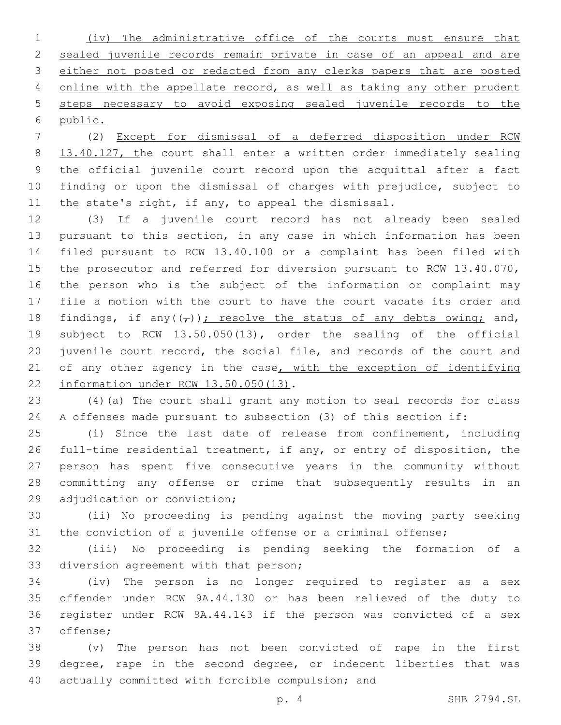(iv) The administrative office of the courts must ensure that sealed juvenile records remain private in case of an appeal and are either not posted or redacted from any clerks papers that are posted online with the appellate record, as well as taking any other prudent steps necessary to avoid exposing sealed juvenile records to the public.

 (2) Except for dismissal of a deferred disposition under RCW 8 13.40.127, the court shall enter a written order immediately sealing the official juvenile court record upon the acquittal after a fact finding or upon the dismissal of charges with prejudice, subject to the state's right, if any, to appeal the dismissal.

 (3) If a juvenile court record has not already been sealed pursuant to this section, in any case in which information has been filed pursuant to RCW 13.40.100 or a complaint has been filed with the prosecutor and referred for diversion pursuant to RCW 13.40.070, the person who is the subject of the information or complaint may file a motion with the court to have the court vacate its order and 18 findings, if any( $(\tau)$ ); resolve the status of any debts owing; and, subject to RCW 13.50.050(13), order the sealing of the official juvenile court record, the social file, and records of the court and 21 of any other agency in the case, with the exception of identifying 22 information under RCW 13.50.050(13).

 (4)(a) The court shall grant any motion to seal records for class A offenses made pursuant to subsection (3) of this section if:

 (i) Since the last date of release from confinement, including full-time residential treatment, if any, or entry of disposition, the person has spent five consecutive years in the community without committing any offense or crime that subsequently results in an 29 adjudication or conviction;

 (ii) No proceeding is pending against the moving party seeking the conviction of a juvenile offense or a criminal offense;

 (iii) No proceeding is pending seeking the formation of a 33 diversion agreement with that person;

 (iv) The person is no longer required to register as a sex offender under RCW 9A.44.130 or has been relieved of the duty to register under RCW 9A.44.143 if the person was convicted of a sex 37 offense;

 (v) The person has not been convicted of rape in the first degree, rape in the second degree, or indecent liberties that was 40 actually committed with forcible compulsion; and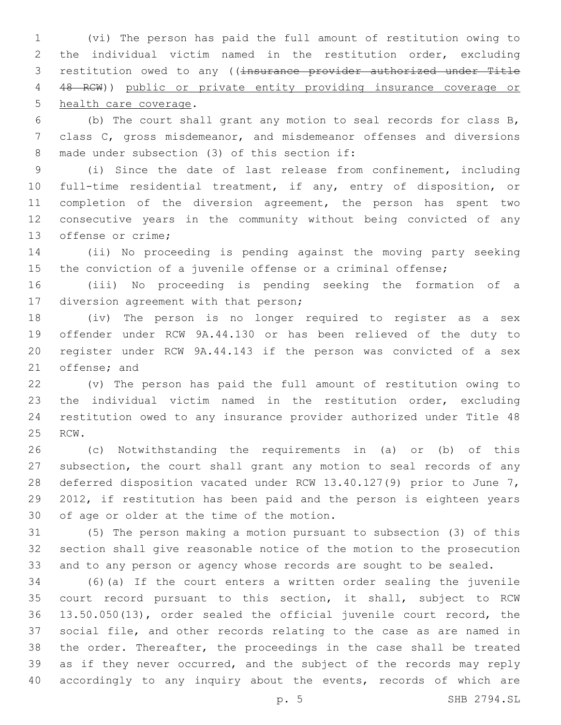(vi) The person has paid the full amount of restitution owing to the individual victim named in the restitution order, excluding restitution owed to any ((insurance provider authorized under Title 48 RCW)) public or private entity providing insurance coverage or 5 health care coverage.

 (b) The court shall grant any motion to seal records for class B, class C, gross misdemeanor, and misdemeanor offenses and diversions 8 made under subsection (3) of this section if:

 (i) Since the date of last release from confinement, including full-time residential treatment, if any, entry of disposition, or completion of the diversion agreement, the person has spent two consecutive years in the community without being convicted of any 13 offense or crime;

 (ii) No proceeding is pending against the moving party seeking the conviction of a juvenile offense or a criminal offense;

 (iii) No proceeding is pending seeking the formation of a 17 diversion agreement with that person;

 (iv) The person is no longer required to register as a sex offender under RCW 9A.44.130 or has been relieved of the duty to register under RCW 9A.44.143 if the person was convicted of a sex 21 offense; and

 (v) The person has paid the full amount of restitution owing to the individual victim named in the restitution order, excluding restitution owed to any insurance provider authorized under Title 48 25 RCW.

 (c) Notwithstanding the requirements in (a) or (b) of this subsection, the court shall grant any motion to seal records of any deferred disposition vacated under RCW 13.40.127(9) prior to June 7, 2012, if restitution has been paid and the person is eighteen years 30 of age or older at the time of the motion.

 (5) The person making a motion pursuant to subsection (3) of this section shall give reasonable notice of the motion to the prosecution and to any person or agency whose records are sought to be sealed.

 (6)(a) If the court enters a written order sealing the juvenile court record pursuant to this section, it shall, subject to RCW 13.50.050(13), order sealed the official juvenile court record, the social file, and other records relating to the case as are named in the order. Thereafter, the proceedings in the case shall be treated as if they never occurred, and the subject of the records may reply 40 accordingly to any inquiry about the events, records of which are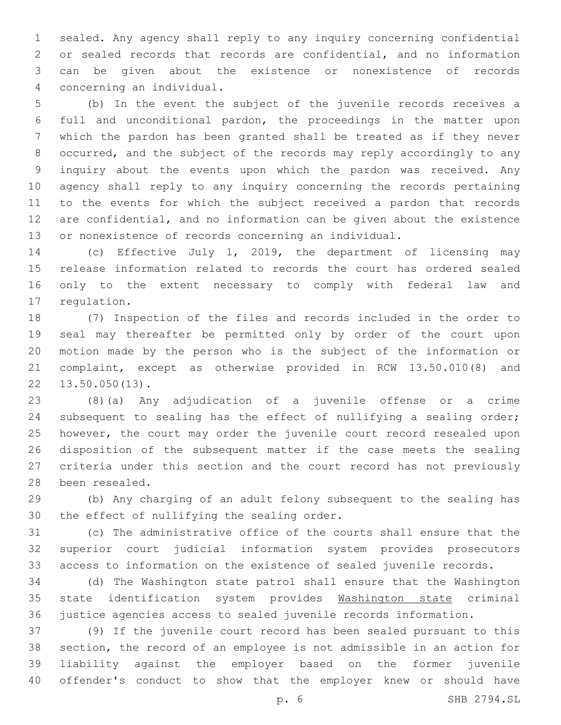sealed. Any agency shall reply to any inquiry concerning confidential or sealed records that records are confidential, and no information can be given about the existence or nonexistence of records 4 concerning an individual.

 (b) In the event the subject of the juvenile records receives a full and unconditional pardon, the proceedings in the matter upon which the pardon has been granted shall be treated as if they never occurred, and the subject of the records may reply accordingly to any inquiry about the events upon which the pardon was received. Any agency shall reply to any inquiry concerning the records pertaining to the events for which the subject received a pardon that records are confidential, and no information can be given about the existence or nonexistence of records concerning an individual.

 (c) Effective July 1, 2019, the department of licensing may release information related to records the court has ordered sealed only to the extent necessary to comply with federal law and 17 regulation.

 (7) Inspection of the files and records included in the order to seal may thereafter be permitted only by order of the court upon motion made by the person who is the subject of the information or complaint, except as otherwise provided in RCW 13.50.010(8) and  $22 \quad 13.50.050(13)$ .

 (8)(a) Any adjudication of a juvenile offense or a crime subsequent to sealing has the effect of nullifying a sealing order; however, the court may order the juvenile court record resealed upon disposition of the subsequent matter if the case meets the sealing criteria under this section and the court record has not previously 28 been resealed.

 (b) Any charging of an adult felony subsequent to the sealing has 30 the effect of nullifying the sealing order.

 (c) The administrative office of the courts shall ensure that the superior court judicial information system provides prosecutors access to information on the existence of sealed juvenile records.

 (d) The Washington state patrol shall ensure that the Washington state identification system provides Washington state criminal justice agencies access to sealed juvenile records information.

 (9) If the juvenile court record has been sealed pursuant to this section, the record of an employee is not admissible in an action for liability against the employer based on the former juvenile offender's conduct to show that the employer knew or should have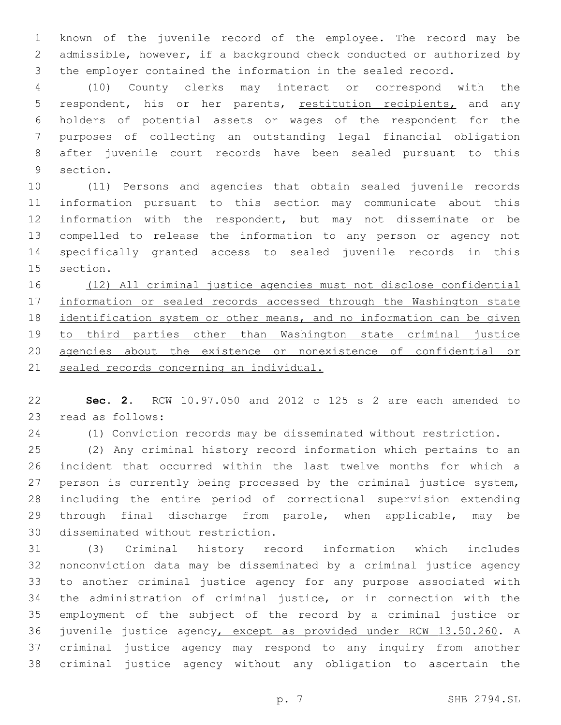known of the juvenile record of the employee. The record may be admissible, however, if a background check conducted or authorized by the employer contained the information in the sealed record.

 (10) County clerks may interact or correspond with the 5 respondent, his or her parents, restitution recipients, and any holders of potential assets or wages of the respondent for the purposes of collecting an outstanding legal financial obligation after juvenile court records have been sealed pursuant to this 9 section.

 (11) Persons and agencies that obtain sealed juvenile records information pursuant to this section may communicate about this information with the respondent, but may not disseminate or be compelled to release the information to any person or agency not specifically granted access to sealed juvenile records in this 15 section.

 (12) All criminal justice agencies must not disclose confidential 17 information or sealed records accessed through the Washington state 18 identification system or other means, and no information can be given to third parties other than Washington state criminal justice agencies about the existence or nonexistence of confidential or sealed records concerning an individual.

 **Sec. 2.** RCW 10.97.050 and 2012 c 125 s 2 are each amended to 23 read as follows:

(1) Conviction records may be disseminated without restriction.

 (2) Any criminal history record information which pertains to an incident that occurred within the last twelve months for which a person is currently being processed by the criminal justice system, including the entire period of correctional supervision extending through final discharge from parole, when applicable, may be 30 disseminated without restriction.

 (3) Criminal history record information which includes nonconviction data may be disseminated by a criminal justice agency to another criminal justice agency for any purpose associated with the administration of criminal justice, or in connection with the employment of the subject of the record by a criminal justice or juvenile justice agency, except as provided under RCW 13.50.260. A criminal justice agency may respond to any inquiry from another criminal justice agency without any obligation to ascertain the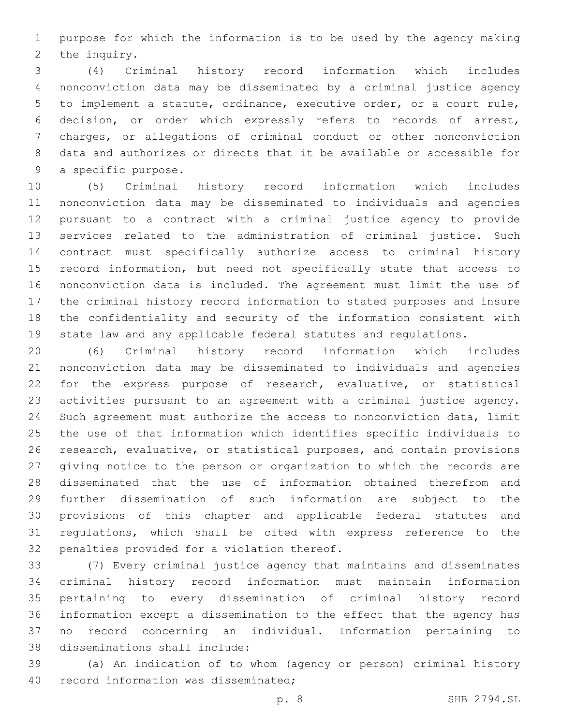purpose for which the information is to be used by the agency making 2 the inquiry.

 (4) Criminal history record information which includes nonconviction data may be disseminated by a criminal justice agency to implement a statute, ordinance, executive order, or a court rule, decision, or order which expressly refers to records of arrest, charges, or allegations of criminal conduct or other nonconviction data and authorizes or directs that it be available or accessible for 9 a specific purpose.

 (5) Criminal history record information which includes nonconviction data may be disseminated to individuals and agencies pursuant to a contract with a criminal justice agency to provide services related to the administration of criminal justice. Such contract must specifically authorize access to criminal history record information, but need not specifically state that access to nonconviction data is included. The agreement must limit the use of the criminal history record information to stated purposes and insure the confidentiality and security of the information consistent with state law and any applicable federal statutes and regulations.

 (6) Criminal history record information which includes nonconviction data may be disseminated to individuals and agencies for the express purpose of research, evaluative, or statistical activities pursuant to an agreement with a criminal justice agency. Such agreement must authorize the access to nonconviction data, limit the use of that information which identifies specific individuals to research, evaluative, or statistical purposes, and contain provisions giving notice to the person or organization to which the records are disseminated that the use of information obtained therefrom and further dissemination of such information are subject to the provisions of this chapter and applicable federal statutes and regulations, which shall be cited with express reference to the 32 penalties provided for a violation thereof.

 (7) Every criminal justice agency that maintains and disseminates criminal history record information must maintain information pertaining to every dissemination of criminal history record information except a dissemination to the effect that the agency has no record concerning an individual. Information pertaining to 38 disseminations shall include:

 (a) An indication of to whom (agency or person) criminal history 40 record information was disseminated;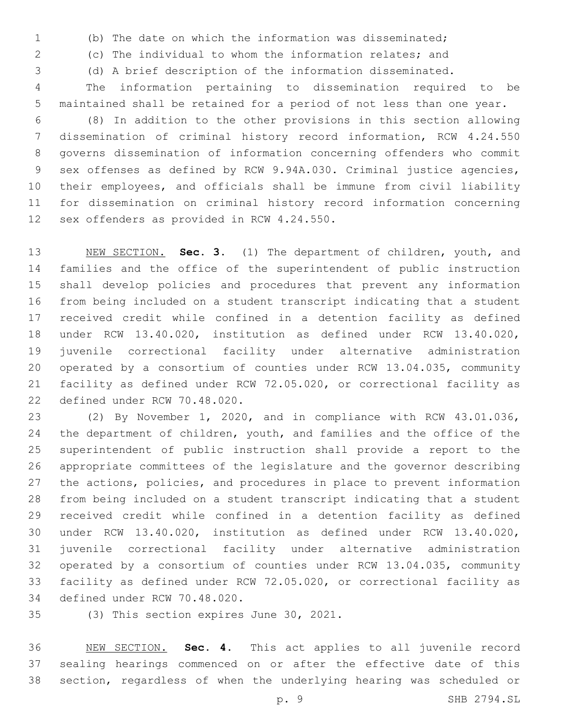(b) The date on which the information was disseminated;

(c) The individual to whom the information relates; and

(d) A brief description of the information disseminated.

 The information pertaining to dissemination required to be maintained shall be retained for a period of not less than one year.

 (8) In addition to the other provisions in this section allowing dissemination of criminal history record information, RCW 4.24.550 governs dissemination of information concerning offenders who commit sex offenses as defined by RCW 9.94A.030. Criminal justice agencies, their employees, and officials shall be immune from civil liability for dissemination on criminal history record information concerning 12 sex offenders as provided in RCW 4.24.550.

 NEW SECTION. **Sec. 3.** (1) The department of children, youth, and families and the office of the superintendent of public instruction shall develop policies and procedures that prevent any information from being included on a student transcript indicating that a student received credit while confined in a detention facility as defined under RCW 13.40.020, institution as defined under RCW 13.40.020, juvenile correctional facility under alternative administration operated by a consortium of counties under RCW 13.04.035, community facility as defined under RCW 72.05.020, or correctional facility as defined under RCW 70.48.020.

 (2) By November 1, 2020, and in compliance with RCW 43.01.036, 24 the department of children, youth, and families and the office of the superintendent of public instruction shall provide a report to the appropriate committees of the legislature and the governor describing the actions, policies, and procedures in place to prevent information from being included on a student transcript indicating that a student received credit while confined in a detention facility as defined under RCW 13.40.020, institution as defined under RCW 13.40.020, juvenile correctional facility under alternative administration operated by a consortium of counties under RCW 13.04.035, community facility as defined under RCW 72.05.020, or correctional facility as 34 defined under RCW 70.48.020.

(3) This section expires June 30, 2021.

 NEW SECTION. **Sec. 4.** This act applies to all juvenile record sealing hearings commenced on or after the effective date of this section, regardless of when the underlying hearing was scheduled or